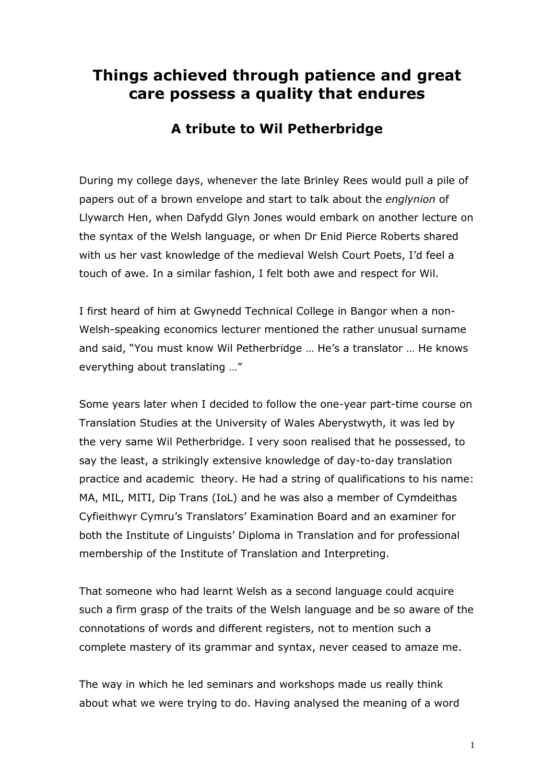## **Things achieved through patience and great care possess a quality that endures**

## **A tribute to Wil Petherbridge**

During my college days, whenever the late Brinley Rees would pull a pile of papers out of a brown envelope and start to talk about the *englynion* of Llywarch Hen, when Dafydd Glyn Jones would embark on another lecture on the syntax of the Welsh language, or when Dr Enid Pierce Roberts shared with us her vast knowledge of the medieval Welsh Court Poets, I'd feel a touch of awe. In a similar fashion, I felt both awe and respect for Wil.

I first heard of him at Gwynedd Technical College in Bangor when a non-Welsh-speaking economics lecturer mentioned the rather unusual surname and said, "You must know Wil Petherbridge … He's a translator … He knows everything about translating …"

Some years later when I decided to follow the one-year part-time course on Translation Studies at the University of Wales Aberystwyth, it was led by the very same Wil Petherbridge. I very soon realised that he possessed, to say the least, a strikingly extensive knowledge of day-to-day translation practice and academic theory. He had a string of qualifications to his name: MA, MIL, MITI, Dip Trans (IoL) and he was also a member of Cymdeithas Cyfieithwyr Cymru's Translators' Examination Board and an examiner for both the Institute of Linguists' Diploma in Translation and for professional membership of the Institute of Translation and Interpreting.

That someone who had learnt Welsh as a second language could acquire such a firm grasp of the traits of the Welsh language and be so aware of the connotations of words and different registers, not to mention such a complete mastery of its grammar and syntax, never ceased to amaze me.

The way in which he led seminars and workshops made us really think about what we were trying to do. Having analysed the meaning of a word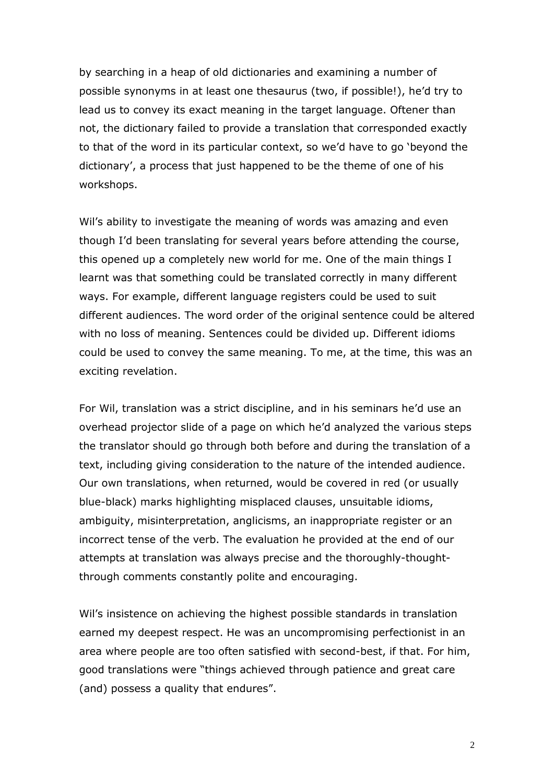by searching in a heap of old dictionaries and examining a number of possible synonyms in at least one thesaurus (two, if possible!), he'd try to lead us to convey its exact meaning in the target language. Oftener than not, the dictionary failed to provide a translation that corresponded exactly to that of the word in its particular context, so we'd have to go 'beyond the dictionary', a process that just happened to be the theme of one of his workshops.

Wil's ability to investigate the meaning of words was amazing and even though I'd been translating for several years before attending the course, this opened up a completely new world for me. One of the main things I learnt was that something could be translated correctly in many different ways. For example, different language registers could be used to suit different audiences. The word order of the original sentence could be altered with no loss of meaning. Sentences could be divided up. Different idioms could be used to convey the same meaning. To me, at the time, this was an exciting revelation.

For Wil, translation was a strict discipline, and in his seminars he'd use an overhead projector slide of a page on which he'd analyzed the various steps the translator should go through both before and during the translation of a text, including giving consideration to the nature of the intended audience. Our own translations, when returned, would be covered in red (or usually blue-black) marks highlighting misplaced clauses, unsuitable idioms, ambiguity, misinterpretation, anglicisms, an inappropriate register or an incorrect tense of the verb. The evaluation he provided at the end of our attempts at translation was always precise and the thoroughly-thoughtthrough comments constantly polite and encouraging.

Wil's insistence on achieving the highest possible standards in translation earned my deepest respect. He was an uncompromising perfectionist in an area where people are too often satisfied with second-best, if that. For him, good translations were "things achieved through patience and great care (and) possess a quality that endures".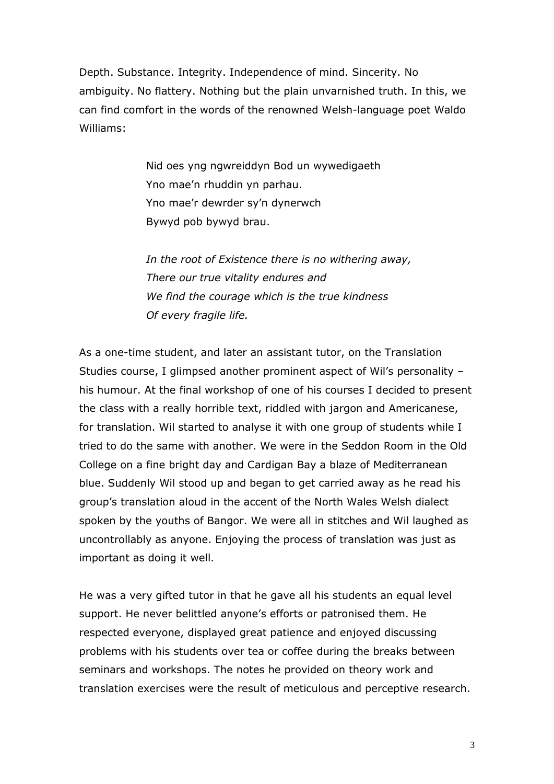Depth. Substance. Integrity. Independence of mind. Sincerity. No ambiguity. No flattery. Nothing but the plain unvarnished truth. In this, we can find comfort in the words of the renowned Welsh-language poet Waldo Williams:

> Nid oes yng ngwreiddyn Bod un wywedigaeth Yno mae'n rhuddin yn parhau. Yno mae'r dewrder sy'n dynerwch Bywyd pob bywyd brau.

*In the root of Existence there is no withering away, There our true vitality endures and We find the courage which is the true kindness Of every fragile life.*

As a one-time student, and later an assistant tutor, on the Translation Studies course, I glimpsed another prominent aspect of Wil's personality – his humour. At the final workshop of one of his courses I decided to present the class with a really horrible text, riddled with jargon and Americanese, for translation. Wil started to analyse it with one group of students while I tried to do the same with another. We were in the Seddon Room in the Old College on a fine bright day and Cardigan Bay a blaze of Mediterranean blue. Suddenly Wil stood up and began to get carried away as he read his group's translation aloud in the accent of the North Wales Welsh dialect spoken by the youths of Bangor. We were all in stitches and Wil laughed as uncontrollably as anyone. Enjoying the process of translation was just as important as doing it well.

He was a very gifted tutor in that he gave all his students an equal level support. He never belittled anyone's efforts or patronised them. He respected everyone, displayed great patience and enjoyed discussing problems with his students over tea or coffee during the breaks between seminars and workshops. The notes he provided on theory work and translation exercises were the result of meticulous and perceptive research.